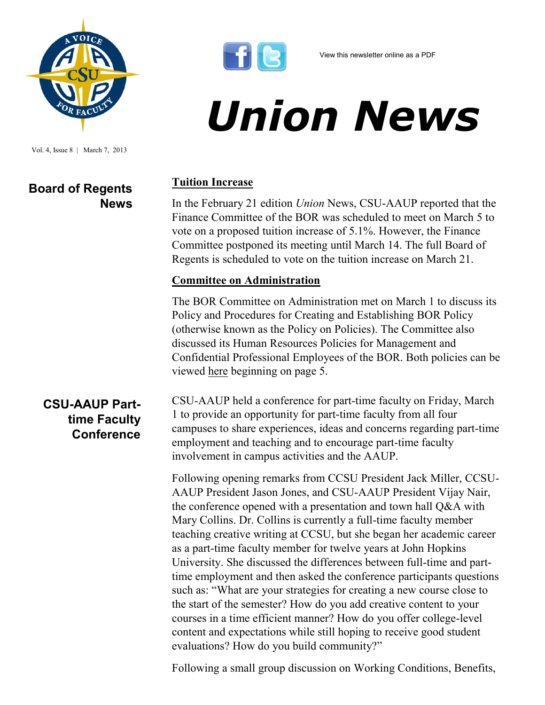

Vol. 4, Issue 8 | March 7, 2013

**Board of Regents** 

**News**



## *Union News*

## **Tuition Increase**

In the February 21 edition *Union* News, CSU-AAUP reported that the Finance Committee of the BOR was scheduled to meet on March 5 to vote on a proposed tuition increase of 5.1%. However, the Finance Committee postponed its meeting until March 14. The full Board of Regents is scheduled to vote on the tuition increase on March 21.

## **Committee on Administration**

The BOR Committee on Administration met on March 1 to discuss its Policy and Procedures for Creating and Establishing BOR Policy (otherwise known as the Policy on Policies). The Committee also discussed its Human Resources Policies for Management and Confidential Professional Employees of the BOR. Both policies can be viewed [here](http://www.ct.edu/images/uploads/Admin-Agenda-03-01-2013.pdf) beginning on page 5.

## **CSU-AAUP Parttime Faculty Conference**

CSU-AAUP held a conference for part-time faculty on Friday, March 1 to provide an opportunity for part-time faculty from all four campuses to share experiences, ideas and concerns regarding part-time employment and teaching and to encourage part-time faculty involvement in campus activities and the AAUP.

Following opening remarks from CCSU President Jack Miller, CCSU-AAUP President Jason Jones, and CSU-AAUP President Vijay Nair, the conference opened with a presentation and town hall Q&A with Mary Collins. Dr. Collins is currently a full-time faculty member teaching creative writing at CCSU, but she began her academic career as a part-time faculty member for twelve years at John Hopkins University. She discussed the differences between full-time and parttime employment and then asked the conference participants questions such as: "What are your strategies for creating a new course close to the start of the semester? How do you add creative content to your courses in a time efficient manner? How do you offer college-level content and expectations while still hoping to receive good student evaluations? How do you build community?"

Following a small group discussion on Working Conditions, Benefits,